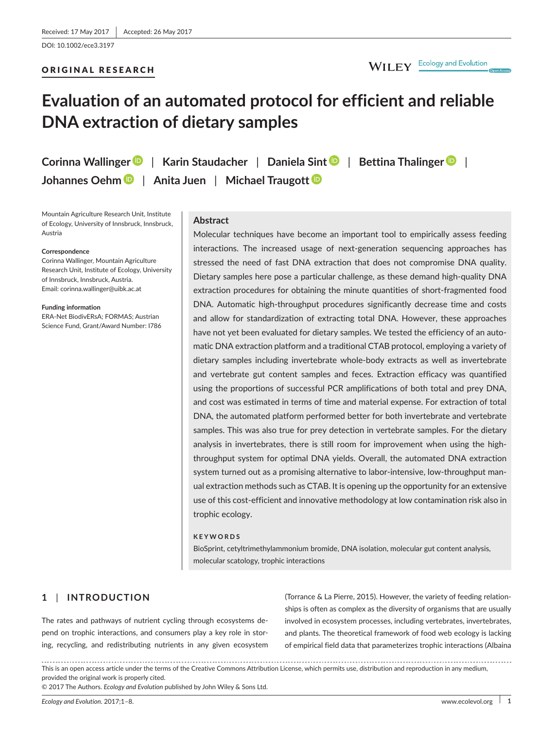DOI: 10.1002/ece3.3197

# ORIGINAL RESEARCH

# **Evaluation of an automated protocol for efficient and reliable DNA extraction of dietary samples**

**Corinna Wallinge[r](http://orcid.org/0000-0002-7153-9690)** | **Karin Staudacher** | **Daniela Sint** | **Bettina Thalinge[r](http://orcid.org/0000-0001-9315-8648)** | **Johannes Oeh[m](http://orcid.org/0000-0001-6914-5353)** | **Anita Juen** | **Michael Traugot[t](http://orcid.org/0000-0001-9719-5059)**

Mountain Agriculture Research Unit, Institute of Ecology, University of Innsbruck, Innsbruck, Austria

#### **Correspondence**

Corinna Wallinger, Mountain Agriculture Research Unit, Institute of Ecology, University of Innsbruck, Innsbruck, Austria. Email: [corinna.wallinger@uibk.ac.at](mailto:corinna.wallinger@uibk.ac.at)

**Funding information** ERA-Net BiodivERsA; FORMAS; Austrian Science Fund, Grant/Award Number: I786

## **Abstract**

Molecular techniques have become an important tool to empirically assess feeding interactions. The increased usage of next-generation sequencing approaches has stressed the need of fast DNA extraction that does not compromise DNA quality. Dietary samples here pose a particular challenge, as these demand high-quality DNA extraction procedures for obtaining the minute quantities of short-fragmented food DNA. Automatic high-throughput procedures significantly decrease time and costs and allow for standardization of extracting total DNA. However, these approaches have not yet been evaluated for dietary samples. We tested the efficiency of an automatic DNA extraction platform and a traditional CTAB protocol, employing a variety of dietary samples including invertebrate whole-body extracts as well as invertebrate and vertebrate gut content samples and feces. Extraction efficacy was quantified using the proportions of successful PCR amplifications of both total and prey DNA, and cost was estimated in terms of time and material expense. For extraction of total DNA, the automated platform performed better for both invertebrate and vertebrate samples. This was also true for prey detection in vertebrate samples. For the dietary analysis in invertebrates, there is still room for improvement when using the highthroughput system for optimal DNA yields. Overall, the automated DNA extraction system turned out as a promising alternative to labor-intensive, low-throughput manual extraction methods such as CTAB. It is opening up the opportunity for an extensive use of this cost-efficient and innovative methodology at low contamination risk also in trophic ecology.

#### **KEYWORDS**

BioSprint, cetyltrimethylammonium bromide, DNA isolation, molecular gut content analysis, molecular scatology, trophic interactions

# **1** | **INTRODUCTION**

The rates and pathways of nutrient cycling through ecosystems depend on trophic interactions, and consumers play a key role in storing, recycling, and redistributing nutrients in any given ecosystem (Torrance & La Pierre, 2015). However, the variety of feeding relationships is often as complex as the diversity of organisms that are usually involved in ecosystem processes, including vertebrates, invertebrates, and plants. The theoretical framework of food web ecology is lacking of empirical field data that parameterizes trophic interactions (Albaina

This is an open access article under the terms of the Creative Commons [Attribution](http://creativecommons.org/licenses/by/4.0/) License, which permits use, distribution and reproduction in any medium, provided the original work is properly cited.

© 2017 The Authors. *Ecology and Evolution* published by John Wiley & Sons Ltd.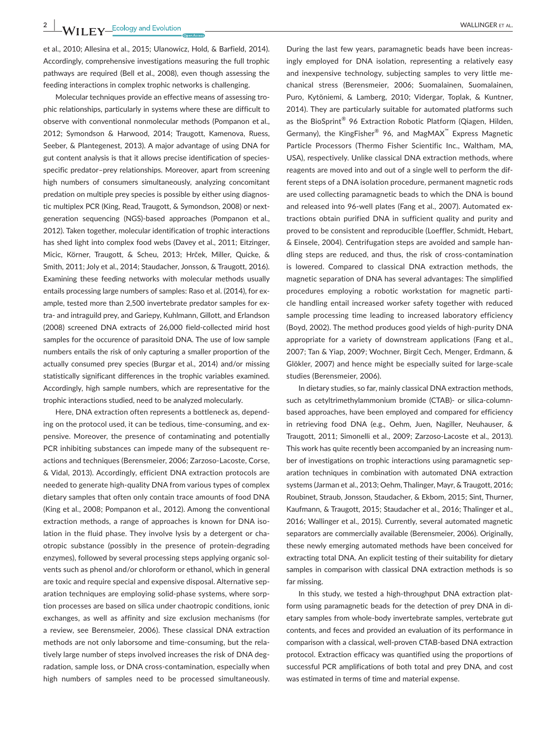et al., 2010; Allesina et al., 2015; Ulanowicz, Hold, & Barfield, 2014). Accordingly, comprehensive investigations measuring the full trophic pathways are required (Bell et al., 2008), even though assessing the feeding interactions in complex trophic networks is challenging.

Molecular techniques provide an effective means of assessing trophic relationships, particularly in systems where these are difficult to observe with conventional nonmolecular methods (Pompanon et al., 2012; Symondson & Harwood, 2014; Traugott, Kamenova, Ruess, Seeber, & Plantegenest, 2013). A major advantage of using DNA for gut content analysis is that it allows precise identification of speciesspecific predator–prey relationships. Moreover, apart from screening high numbers of consumers simultaneously, analyzing concomitant predation on multiple prey species is possible by either using diagnostic multiplex PCR (King, Read, Traugott, & Symondson, 2008) or nextgeneration sequencing (NGS)-based approaches (Pompanon et al., 2012). Taken together, molecular identification of trophic interactions has shed light into complex food webs (Davey et al., 2011; Eitzinger, Micic, Körner, Traugott, & Scheu, 2013; Hrček, Miller, Quicke, & Smith, 2011; Joly et al., 2014; Staudacher, Jonsson, & Traugott, 2016). Examining these feeding networks with molecular methods usually entails processing large numbers of samples: Raso et al. (2014), for example, tested more than 2,500 invertebrate predator samples for extra- and intraguild prey, and Gariepy, Kuhlmann, Gillott, and Erlandson (2008) screened DNA extracts of 26,000 field-collected mirid host samples for the occurence of parasitoid DNA. The use of low sample numbers entails the risk of only capturing a smaller proportion of the actually consumed prey species (Burgar et al., 2014) and/or missing statistically significant differences in the trophic variables examined. Accordingly, high sample numbers, which are representative for the trophic interactions studied, need to be analyzed molecularly.

Here, DNA extraction often represents a bottleneck as, depending on the protocol used, it can be tedious, time-consuming, and expensive. Moreover, the presence of contaminating and potentially PCR inhibiting substances can impede many of the subsequent reactions and techniques (Berensmeier, 2006; Zarzoso-Lacoste, Corse, & Vidal, 2013). Accordingly, efficient DNA extraction protocols are needed to generate high-quality DNA from various types of complex dietary samples that often only contain trace amounts of food DNA (King et al., 2008; Pompanon et al., 2012). Among the conventional extraction methods, a range of approaches is known for DNA isolation in the fluid phase. They involve lysis by a detergent or chaotropic substance (possibly in the presence of protein-degrading enzymes), followed by several processing steps applying organic solvents such as phenol and/or chloroform or ethanol, which in general are toxic and require special and expensive disposal. Alternative separation techniques are employing solid-phase systems, where sorption processes are based on silica under chaotropic conditions, ionic exchanges, as well as affinity and size exclusion mechanisms (for a review, see Berensmeier, 2006). These classical DNA extraction methods are not only laborsome and time-consuming, but the relatively large number of steps involved increases the risk of DNA degradation, sample loss, or DNA cross-contamination, especially when high numbers of samples need to be processed simultaneously.

ingly employed for DNA isolation, representing a relatively easy and inexpensive technology, subjecting samples to very little mechanical stress (Berensmeier, 2006; Suomalainen, Suomalainen, Puro, Kytöniemi, & Lamberg, 2010; Vidergar, Toplak, & Kuntner, 2014). They are particularly suitable for automated platforms such as the BioSprint<sup>®</sup> 96 Extraction Robotic Platform (Qiagen, Hilden, Germany), the KingFisher® 96, and MagMAX™ Express Magnetic Particle Processors (Thermo Fisher Scientific Inc., Waltham, MA, USA), respectively. Unlike classical DNA extraction methods, where reagents are moved into and out of a single well to perform the different steps of a DNA isolation procedure, permanent magnetic rods are used collecting paramagnetic beads to which the DNA is bound and released into 96-well plates (Fang et al., 2007). Automated extractions obtain purified DNA in sufficient quality and purity and proved to be consistent and reproducible (Loeffler, Schmidt, Hebart, & Einsele, 2004). Centrifugation steps are avoided and sample handling steps are reduced, and thus, the risk of cross-contamination is lowered. Compared to classical DNA extraction methods, the magnetic separation of DNA has several advantages: The simplified procedures employing a robotic workstation for magnetic particle handling entail increased worker safety together with reduced sample processing time leading to increased laboratory efficiency (Boyd, 2002). The method produces good yields of high-purity DNA appropriate for a variety of downstream applications (Fang et al., 2007; Tan & Yiap, 2009; Wochner, Birgit Cech, Menger, Erdmann, & Glökler, 2007) and hence might be especially suited for large-scale studies (Berensmeier, 2006).

During the last few years, paramagnetic beads have been increas-

In dietary studies, so far, mainly classical DNA extraction methods, such as cetyltrimethylammonium bromide (CTAB)- or silica-columnbased approaches, have been employed and compared for efficiency in retrieving food DNA (e.g., Oehm, Juen, Nagiller, Neuhauser, & Traugott, 2011; Simonelli et al., 2009; Zarzoso-Lacoste et al., 2013). This work has quite recently been accompanied by an increasing number of investigations on trophic interactions using paramagnetic separation techniques in combination with automated DNA extraction systems (Jarman et al., 2013; Oehm, Thalinger, Mayr, & Traugott, 2016; Roubinet, Straub, Jonsson, Staudacher, & Ekbom, 2015; Sint, Thurner, Kaufmann, & Traugott, 2015; Staudacher et al., 2016; Thalinger et al., 2016; Wallinger et al., 2015). Currently, several automated magnetic separators are commercially available (Berensmeier, 2006). Originally, these newly emerging automated methods have been conceived for extracting total DNA. An explicit testing of their suitability for dietary samples in comparison with classical DNA extraction methods is so far missing.

In this study, we tested a high-throughput DNA extraction platform using paramagnetic beads for the detection of prey DNA in dietary samples from whole-body invertebrate samples, vertebrate gut contents, and feces and provided an evaluation of its performance in comparison with a classical, well-proven CTAB-based DNA extraction protocol. Extraction efficacy was quantified using the proportions of successful PCR amplifications of both total and prey DNA, and cost was estimated in terms of time and material expense.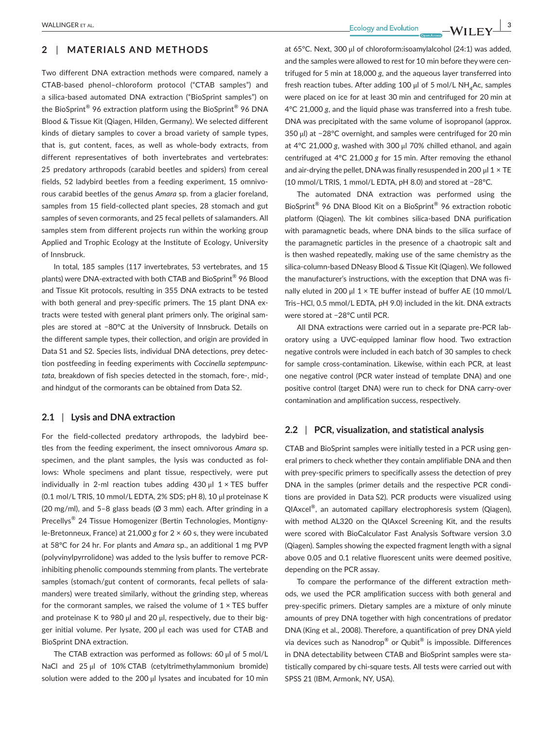# **2** | **MATERIALS AND METHODS**

Two different DNA extraction methods were compared, namely a CTAB-based phenol–chloroform protocol ("CTAB samples") and a silica-based automated DNA extraction ("BioSprint samples") on the BioSprint® 96 extraction platform using the BioSprint® 96 DNA Blood & Tissue Kit (Qiagen, Hilden, Germany). We selected different kinds of dietary samples to cover a broad variety of sample types, that is, gut content, faces, as well as whole-body extracts, from different representatives of both invertebrates and vertebrates: 25 predatory arthropods (carabid beetles and spiders) from cereal fields, 52 ladybird beetles from a feeding experiment, 15 omnivorous carabid beetles of the genus *Amara* sp. from a glacier foreland, samples from 15 field-collected plant species, 28 stomach and gut samples of seven cormorants, and 25 fecal pellets of salamanders. All samples stem from different projects run within the working group Applied and Trophic Ecology at the Institute of Ecology, University of Innsbruck.

In total, 185 samples (117 invertebrates, 53 vertebrates, and 15 plants) were DNA-extracted with both CTAB and BioSprint® 96 Blood and Tissue Kit protocols, resulting in 355 DNA extracts to be tested with both general and prey-specific primers. The 15 plant DNA extracts were tested with general plant primers only. The original samples are stored at −80°C at the University of Innsbruck. Details on the different sample types, their collection, and origin are provided in Data S1 and S2. Species lists, individual DNA detections, prey detection postfeeding in feeding experiments with *Coccinella septempunctata,* breakdown of fish species detected in the stomach, fore-, mid-, and hindgut of the cormorants can be obtained from Data S2.

#### **2.1** | **Lysis and DNA extraction**

For the field-collected predatory arthropods, the ladybird beetles from the feeding experiment, the insect omnivorous *Amara* sp. specimen, and the plant samples, the lysis was conducted as follows: Whole specimens and plant tissue, respectively, were put individually in 2-ml reaction tubes adding 430  $\mu$ l 1 × TES buffer (0.1 mol/L TRIS, 10 mmol/L EDTA, 2% SDS; pH 8), 10 μl proteinase K (20 mg/ml), and 5–8 glass beads (Ø 3 mm) each. After grinding in a Precellys® 24 Tissue Homogenizer (Bertin Technologies, Montignyle-Bretonneux, France) at 21,000 *g* for 2 × 60 s, they were incubated at 58°C for 24 hr. For plants and *Amara* sp., an additional 1 mg PVP (polyvinylpyrrolidone) was added to the lysis buffer to remove PCRinhibiting phenolic compounds stemming from plants. The vertebrate samples (stomach/gut content of cormorants, fecal pellets of salamanders) were treated similarly, without the grinding step, whereas for the cormorant samples, we raised the volume of  $1 \times TES$  buffer and proteinase K to 980 μl and 20 μl, respectively, due to their bigger initial volume. Per lysate, 200 μl each was used for CTAB and BioSprint DNA extraction.

The CTAB extraction was performed as follows: 60 μl of 5 mol/L NaCl and 25 μl of 10% CTAB (cetyltrimethylammonium bromide) solution were added to the 200 μl lysates and incubated for 10 min

 **|** WALLINGER et al. **3**

at 65°C. Next, 300 μl of chloroform:isoamylalcohol (24:1) was added, and the samples were allowed to rest for 10 min before they were centrifuged for 5 min at 18,000 *g*, and the aqueous layer transferred into fresh reaction tubes. After adding 100 μl of 5 mol/L NH<sub>4</sub>Ac, samples were placed on ice for at least 30 min and centrifuged for 20 min at 4°C 21,000 *g*, and the liquid phase was transferred into a fresh tube. DNA was precipitated with the same volume of isopropanol (approx. 350 μl) at −28°C overnight, and samples were centrifuged for 20 min at 4°C 21,000 *g*, washed with 300 μl 70% chilled ethanol, and again centrifuged at 4°C 21,000 *g* for 15 min. After removing the ethanol and air-drying the pellet. DNA was finally resuspended in 200 μl  $1 \times TE$ (10 mmol/L TRIS, 1 mmol/L EDTA, pH 8.0) and stored at −28°C.

The automated DNA extraction was performed using the BioSprint® 96 DNA Blood Kit on a BioSprint® 96 extraction robotic platform (Qiagen). The kit combines silica-based DNA purification with paramagnetic beads, where DNA binds to the silica surface of the paramagnetic particles in the presence of a chaotropic salt and is then washed repeatedly, making use of the same chemistry as the silica-column-based DNeasy Blood & Tissue Kit (Qiagen). We followed the manufacturer's instructions, with the exception that DNA was finally eluted in 200 μl  $1 \times$  TE buffer instead of buffer AE (10 mmol/L Tris–HCl, 0.5 mmol/L EDTA, pH 9.0) included in the kit. DNA extracts were stored at −28°C until PCR.

All DNA extractions were carried out in a separate pre-PCR laboratory using a UVC-equipped laminar flow hood. Two extraction negative controls were included in each batch of 30 samples to check for sample cross-contamination. Likewise, within each PCR, at least one negative control (PCR water instead of template DNA) and one positive control (target DNA) were run to check for DNA carry-over contamination and amplification success, respectively.

# **2.2** | **PCR, visualization, and statistical analysis**

CTAB and BioSprint samples were initially tested in a PCR using general primers to check whether they contain amplifiable DNA and then with prey-specific primers to specifically assess the detection of prey DNA in the samples (primer details and the respective PCR conditions are provided in Data S2). PCR products were visualized using QIAxcel®, an automated capillary electrophoresis system (Qiagen), with method AL320 on the QIAxcel Screening Kit, and the results were scored with BioCalculator Fast Analysis Software version 3.0 (Qiagen). Samples showing the expected fragment length with a signal above 0.05 and 0.1 relative fluorescent units were deemed positive, depending on the PCR assay.

To compare the performance of the different extraction methods, we used the PCR amplification success with both general and prey-specific primers. Dietary samples are a mixture of only minute amounts of prey DNA together with high concentrations of predator DNA (King et al., 2008). Therefore, a quantification of prey DNA yield via devices such as Nanodrop® or Qubit® is impossible. Differences in DNA detectability between CTAB and BioSprint samples were statistically compared by chi-square tests. All tests were carried out with SPSS 21 (IBM, Armonk, NY, USA).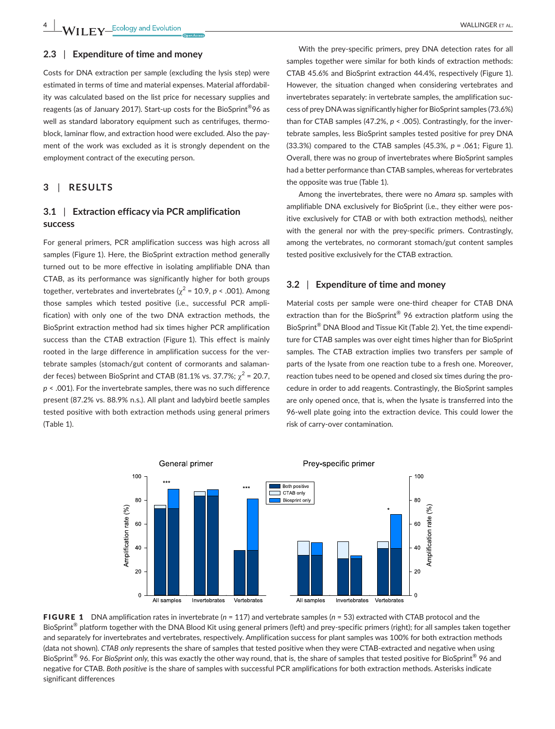## **2.3** | **Expenditure of time and money**

Costs for DNA extraction per sample (excluding the lysis step) were estimated in terms of time and material expenses. Material affordability was calculated based on the list price for necessary supplies and reagents (as of January 2017). Start-up costs for the BioSprint®96 as well as standard laboratory equipment such as centrifuges, thermoblock, laminar flow, and extraction hood were excluded. Also the payment of the work was excluded as it is strongly dependent on the employment contract of the executing person.

# **3** | **RESULTS**

# **3.1** | **Extraction efficacy via PCR amplification success**

For general primers, PCR amplification success was high across all samples (Figure 1). Here, the BioSprint extraction method generally turned out to be more effective in isolating amplifiable DNA than CTAB, as its performance was significantly higher for both groups together, vertebrates and invertebrates ( $\chi^2$  = 10.9, *p* < .001). Among those samples which tested positive (i.e., successful PCR amplification) with only one of the two DNA extraction methods, the BioSprint extraction method had six times higher PCR amplification success than the CTAB extraction (Figure 1). This effect is mainly rooted in the large difference in amplification success for the vertebrate samples (stomach/gut content of cormorants and salamander feces) between BioSprint and CTAB (81.1% vs. 37.7%;  $\chi^2$  = 20.7, *p* < .001). For the invertebrate samples, there was no such difference present (87.2% vs. 88.9% n.s.). All plant and ladybird beetle samples tested positive with both extraction methods using general primers (Table 1).

With the prey-specific primers, prey DNA detection rates for all samples together were similar for both kinds of extraction methods: CTAB 45.6% and BioSprint extraction 44.4%, respectively (Figure 1). However, the situation changed when considering vertebrates and invertebrates separately: in vertebrate samples, the amplification success of prey DNA was significantly higher for BioSprint samples (73.6%) than for CTAB samples (47.2%, *p* < .005). Contrastingly, for the invertebrate samples, less BioSprint samples tested positive for prey DNA (33.3%) compared to the CTAB samples (45.3%, *p* = .061; Figure 1). Overall, there was no group of invertebrates where BioSprint samples had a better performance than CTAB samples, whereas for vertebrates the opposite was true (Table 1).

Among the invertebrates, there were no *Amara* sp. samples with amplifiable DNA exclusively for BioSprint (i.e., they either were positive exclusively for CTAB or with both extraction methods), neither with the general nor with the prey-specific primers. Contrastingly, among the vertebrates, no cormorant stomach/gut content samples tested positive exclusively for the CTAB extraction.

## **3.2** | **Expenditure of time and money**

Material costs per sample were one-third cheaper for CTAB DNA extraction than for the BioSprint® 96 extraction platform using the BioSprint® DNA Blood and Tissue Kit (Table 2). Yet, the time expenditure for CTAB samples was over eight times higher than for BioSprint samples. The CTAB extraction implies two transfers per sample of parts of the lysate from one reaction tube to a fresh one. Moreover, reaction tubes need to be opened and closed six times during the procedure in order to add reagents. Contrastingly, the BioSprint samples are only opened once, that is, when the lysate is transferred into the 96-well plate going into the extraction device. This could lower the risk of carry-over contamination.



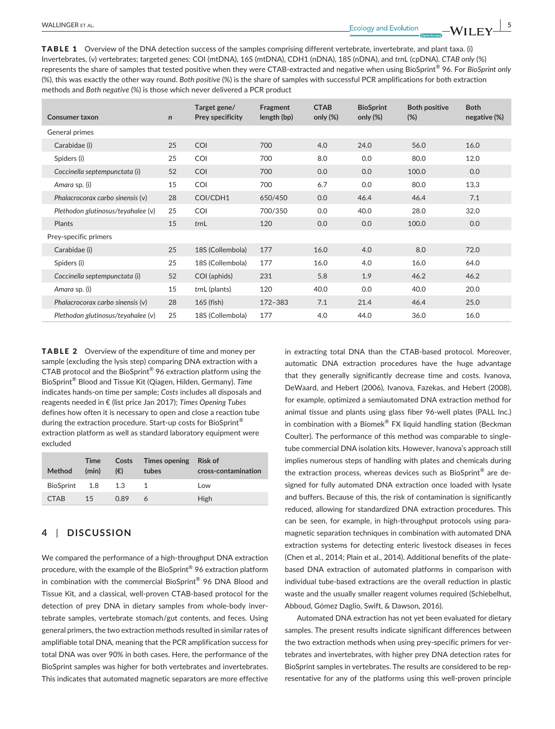TABLE 1 Overview of the DNA detection success of the samples comprising different vertebrate, invertebrate, and plant taxa. (i) Invertebrates, (v) vertebrates; targeted genes: COI (mtDNA), 16S (mtDNA), CDH1 (nDNA), 18S (nDNA), and *trn*L (cpDNA). *CTAB only* (%) represents the share of samples that tested positive when they were CTAB-extracted and negative when using BioSprint® 96. For *BioSprint only* (%), this was exactly the other way round. *Both positive* (%) is the share of samples with successful PCR amplifications for both extraction methods and *Both negative* (%) is those which never delivered a PCR product

| Consumer taxon                     | $\mathsf{n}$ | Target gene/<br>Prey specificity | Fragment<br>length (bp) | <b>CTAB</b><br>only $(\%)$ | <b>BioSprint</b><br>only $(\%)$ | <b>Both positive</b><br>$(\%)$ | <b>Both</b><br>negative (%) |
|------------------------------------|--------------|----------------------------------|-------------------------|----------------------------|---------------------------------|--------------------------------|-----------------------------|
| General primes                     |              |                                  |                         |                            |                                 |                                |                             |
| Carabidae (i)                      | 25           | COI                              | 700                     | 4.0                        | 24.0                            | 56.0                           | 16.0                        |
| Spiders (i)                        | 25           | <b>COI</b>                       | 700                     | 8.0                        | 0.0                             | 80.0                           | 12.0                        |
| Coccinella septempunctata (i)      | 52           | COI                              | 700                     | 0.0                        | 0.0                             | 100.0                          | 0.0                         |
| Amara sp. (i)                      | 15           | COI                              | 700                     | 6.7                        | 0.0                             | 80.0                           | 13.3                        |
| Phalacrocorax carbo sinensis (v)   | 28           | COI/CDH1                         | 650/450                 | 0.0                        | 46.4                            | 46.4                           | 7.1                         |
| Plethodon glutinosus/teyahalee (v) | 25           | <b>COI</b>                       | 700/350                 | 0.0                        | 40.0                            | 28.0                           | 32.0                        |
| Plants                             | 15           | trnL                             | 120                     | 0.0                        | 0.0                             | 100.0                          | 0.0                         |
| Prey-specific primers              |              |                                  |                         |                            |                                 |                                |                             |
| Carabidae (i)                      | 25           | 18S (Collembola)                 | 177                     | 16.0                       | 4.0                             | 8.0                            | 72.0                        |
| Spiders (i)                        | 25           | 18S (Collembola)                 | 177                     | 16.0                       | 4.0                             | 16.0                           | 64.0                        |
| Coccinella septempunctata (i)      | 52           | COI (aphids)                     | 231                     | 5.8                        | 1.9                             | 46.2                           | 46.2                        |
| Amara sp. (i)                      | 15           | trnL (plants)                    | 120                     | 40.0                       | 0.0                             | 40.0                           | 20.0                        |
| Phalacrocorax carbo sinensis (v)   | 28           | 16S (fish)                       | $172 - 383$             | 7.1                        | 21.4                            | 46.4                           | 25.0                        |
| Plethodon glutinosus/teyahalee (v) | 25           | 18S (Collembola)                 | 177                     | 4.0                        | 44.0                            | 36.0                           | 16.0                        |

TABLE 2 Overview of the expenditure of time and money per sample (excluding the lysis step) comparing DNA extraction with a CTAB protocol and the BioSprint® 96 extraction platform using the BioSprint® Blood and Tissue Kit (Qiagen, Hilden, Germany). *Time* indicates hands-on time per sample; *Costs* includes all disposals and reagents needed in € (list price Jan 2017); *Times Opening Tubes* defines how often it is necessary to open and close a reaction tube during the extraction procedure. Start-up costs for BioSprint® extraction platform as well as standard laboratory equipment were excluded

| Method        | Time<br>(min) | Costs<br>$(\epsilon)$ | Times opening<br>tubes | Risk of<br>cross-contamination |
|---------------|---------------|-----------------------|------------------------|--------------------------------|
| BioSprint 1.8 |               | 1.3                   |                        | Low                            |
| <b>CTAB</b>   | 15            | 0.89                  | 6                      | High                           |

# **4** | **DISCUSSION**

We compared the performance of a high-throughput DNA extraction procedure, with the example of the BioSprint® 96 extraction platform in combination with the commercial BioSprint® 96 DNA Blood and Tissue Kit, and a classical, well-proven CTAB-based protocol for the detection of prey DNA in dietary samples from whole-body invertebrate samples, vertebrate stomach/gut contents, and feces. Using general primers, the two extraction methods resulted in similar rates of amplifiable total DNA, meaning that the PCR amplification success for total DNA was over 90% in both cases. Here, the performance of the BioSprint samples was higher for both vertebrates and invertebrates. This indicates that automated magnetic separators are more effective

in extracting total DNA than the CTAB-based protocol. Moreover, automatic DNA extraction procedures have the huge advantage that they generally significantly decrease time and costs. Ivanova, DeWaard, and Hebert (2006), Ivanova, Fazekas, and Hebert (2008), for example, optimized a semiautomated DNA extraction method for animal tissue and plants using glass fiber 96-well plates (PALL Inc.) in combination with a Biomek® FX liquid handling station (Beckman Coulter). The performance of this method was comparable to singletube commercial DNA isolation kits. However, Ivanova's approach still implies numerous steps of handling with plates and chemicals during the extraction process, whereas devices such as BioSprint® are designed for fully automated DNA extraction once loaded with lysate and buffers. Because of this, the risk of contamination is significantly reduced, allowing for standardized DNA extraction procedures. This can be seen, for example, in high-throughput protocols using paramagnetic separation techniques in combination with automated DNA extraction systems for detecting enteric livestock diseases in feces (Chen et al., 2014; Plain et al., 2014). Additional benefits of the platebased DNA extraction of automated platforms in comparison with individual tube-based extractions are the overall reduction in plastic waste and the usually smaller reagent volumes required (Schiebelhut, Abboud, Gómez Daglio, Swift, & Dawson, 2016).

Automated DNA extraction has not yet been evaluated for dietary samples. The present results indicate significant differences between the two extraction methods when using prey-specific primers for vertebrates and invertebrates, with higher prey DNA detection rates for BioSprint samples in vertebrates. The results are considered to be representative for any of the platforms using this well-proven principle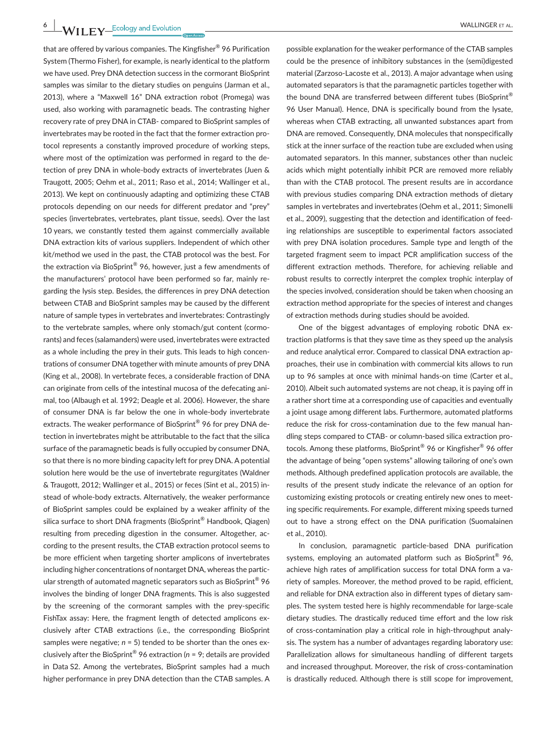that are offered by various companies. The Kingfisher® 96 Purification System (Thermo Fisher), for example, is nearly identical to the platform we have used. Prey DNA detection success in the cormorant BioSprint samples was similar to the dietary studies on penguins (Jarman et al., 2013), where a "Maxwell 16" DNA extraction robot (Promega) was used, also working with paramagnetic beads. The contrasting higher recovery rate of prey DNA in CTAB- compared to BioSprint samples of invertebrates may be rooted in the fact that the former extraction protocol represents a constantly improved procedure of working steps, where most of the optimization was performed in regard to the detection of prey DNA in whole-body extracts of invertebrates (Juen & Traugott, 2005; Oehm et al., 2011; Raso et al., 2014; Wallinger et al., 2013). We kept on continuously adapting and optimizing these CTAB protocols depending on our needs for different predator and "prey" species (invertebrates, vertebrates, plant tissue, seeds). Over the last 10 years, we constantly tested them against commercially available DNA extraction kits of various suppliers. Independent of which other kit/method we used in the past, the CTAB protocol was the best. For the extraction via BioSprint® 96, however, just a few amendments of the manufacturers' protocol have been performed so far, mainly regarding the lysis step. Besides, the differences in prey DNA detection between CTAB and BioSprint samples may be caused by the different nature of sample types in vertebrates and invertebrates: Contrastingly to the vertebrate samples, where only stomach/gut content (cormorants) and feces (salamanders) were used, invertebrates were extracted as a whole including the prey in their guts. This leads to high concentrations of consumer DNA together with minute amounts of prey DNA (King et al., 2008). In vertebrate feces, a considerable fraction of DNA can originate from cells of the intestinal mucosa of the defecating animal, too (Albaugh et al. 1992; Deagle et al. 2006). However, the share of consumer DNA is far below the one in whole-body invertebrate extracts. The weaker performance of BioSprint® 96 for prey DNA detection in invertebrates might be attributable to the fact that the silica surface of the paramagnetic beads is fully occupied by consumer DNA, so that there is no more binding capacity left for prey DNA. A potential solution here would be the use of invertebrate regurgitates (Waldner & Traugott, 2012; Wallinger et al., 2015) or feces (Sint et al., 2015) instead of whole-body extracts. Alternatively, the weaker performance of BioSprint samples could be explained by a weaker affinity of the silica surface to short DNA fragments (BioSprint<sup>®</sup> Handbook, Qiagen) resulting from preceding digestion in the consumer. Altogether, according to the present results, the CTAB extraction protocol seems to be more efficient when targeting shorter amplicons of invertebrates including higher concentrations of nontarget DNA, whereas the particular strength of automated magnetic separators such as BioSprint<sup>®</sup> 96 involves the binding of longer DNA fragments. This is also suggested by the screening of the cormorant samples with the prey-specific FishTax assay: Here, the fragment length of detected amplicons exclusively after CTAB extractions (i.e., the corresponding BioSprint samples were negative; *n* = 5) tended to be shorter than the ones exclusively after the BioSprint® 96 extraction (*n* = 9; details are provided in Data S2. Among the vertebrates, BioSprint samples had a much higher performance in prey DNA detection than the CTAB samples. A

possible explanation for the weaker performance of the CTAB samples could be the presence of inhibitory substances in the (semi)digested material (Zarzoso-Lacoste et al., 2013). A major advantage when using automated separators is that the paramagnetic particles together with the bound DNA are transferred between different tubes (BioSprint® 96 User Manual). Hence, DNA is specifically bound from the lysate, whereas when CTAB extracting, all unwanted substances apart from DNA are removed. Consequently, DNA molecules that nonspecifically stick at the inner surface of the reaction tube are excluded when using automated separators. In this manner, substances other than nucleic acids which might potentially inhibit PCR are removed more reliably than with the CTAB protocol. The present results are in accordance with previous studies comparing DNA extraction methods of dietary samples in vertebrates and invertebrates (Oehm et al., 2011; Simonelli et al., 2009), suggesting that the detection and identification of feeding relationships are susceptible to experimental factors associated with prey DNA isolation procedures. Sample type and length of the targeted fragment seem to impact PCR amplification success of the different extraction methods. Therefore, for achieving reliable and robust results to correctly interpret the complex trophic interplay of the species involved, consideration should be taken when choosing an extraction method appropriate for the species of interest and changes of extraction methods during studies should be avoided.

One of the biggest advantages of employing robotic DNA extraction platforms is that they save time as they speed up the analysis and reduce analytical error. Compared to classical DNA extraction approaches, their use in combination with commercial kits allows to run up to 96 samples at once with minimal hands-on time (Carter et al., 2010). Albeit such automated systems are not cheap, it is paying off in a rather short time at a corresponding use of capacities and eventually a joint usage among different labs. Furthermore, automated platforms reduce the risk for cross-contamination due to the few manual handling steps compared to CTAB- or column-based silica extraction protocols. Among these platforms, BioSprint® 96 or Kingfisher® 96 offer the advantage of being "open systems" allowing tailoring of one's own methods. Although predefined application protocols are available, the results of the present study indicate the relevance of an option for customizing existing protocols or creating entirely new ones to meeting specific requirements. For example, different mixing speeds turned out to have a strong effect on the DNA purification (Suomalainen et al., 2010).

In conclusion, paramagnetic particle-based DNA purification systems, employing an automated platform such as BioSprint® 96, achieve high rates of amplification success for total DNA form a variety of samples. Moreover, the method proved to be rapid, efficient, and reliable for DNA extraction also in different types of dietary samples. The system tested here is highly recommendable for large-scale dietary studies. The drastically reduced time effort and the low risk of cross-contamination play a critical role in high-throughput analysis. The system has a number of advantages regarding laboratory use: Parallelization allows for simultaneous handling of different targets and increased throughput. Moreover, the risk of cross-contamination is drastically reduced. Although there is still scope for improvement,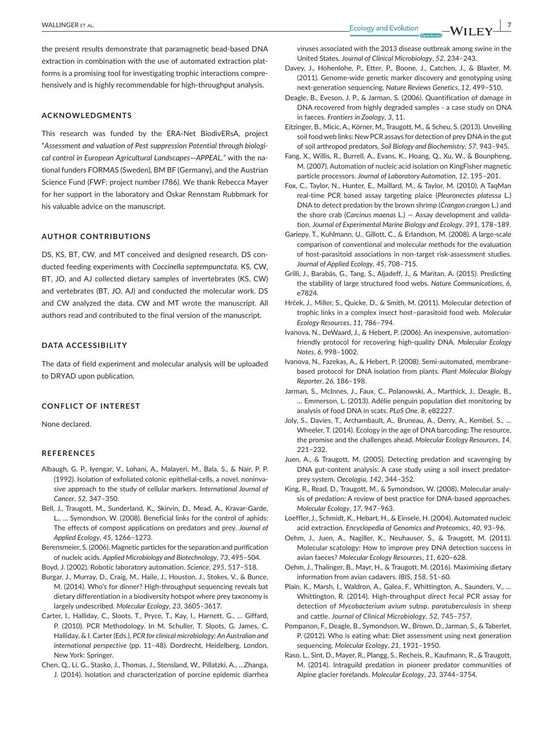the present results demonstrate that paramagnetic bead-based DNA extraction in combination with the use of automated extraction platforms is a promising tool for investigating trophic interactions comprehensively and is highly recommendable for high-throughput analysis.

#### **ACKNOWLEDGMENTS**

This research was funded by the ERA-Net BiodivERsA, project "*Assessment and valuation of Pest suppression Potential through biological control in European Agricultural Landscapes*—*APPEAL,"* with the national funders FORMAS (Sweden), BM BF (Germany), and the Austrian Science Fund (FWF: project number I786). We thank Rebecca Mayer for her support in the laboratory and Oskar Rennstam Rubbmark for his valuable advice on the manuscript.

#### **AUTHOR CONTRIBUTIONS**

DS, KS, BT, CW, and MT conceived and designed research. DS conducted feeding experiments with *Coccinella septempunctata*. KS, CW, BT, JO, and AJ collected dietary samples of invertebrates (KS, CW) and vertebrates (BT, JO, AJ) and conducted the molecular work. DS and CW analyzed the data. CW and MT wrote the manuscript. All authors read and contributed to the final version of the manuscript.

### **DATA ACCESSIBILITY**

The data of field experiment and molecular analysis will be uploaded to DRYAD upon publication.

#### **CONFLICT OF INTEREST**

None declared.

#### **REFERENCES**

- Albaugh, G. P., Iyengar, V., Lohani, A., Malayeri, M., Bala, S., & Nair, P. P. (1992). Isolation of exfoliated colonic epithelial-cells, a novel, noninvasive approach to the study of cellular markers. *International Journal of Cancer*, *52*, 347–350.
- Bell, J., Traugott, M., Sunderland, K., Skirvin, D., Mead, A., Kravar-Garde, L., … Symondson, W. (2008). Beneficial links for the control of aphids: The effects of compost applications on predators and prey. *Journal of Applied Ecology*, *45*, 1266–1273.
- Berensmeier, S. (2006). Magnetic particles for the separation and purification of nucleic acids. *Applied Microbiology and Biotechnology*, *73*, 495–504.
- Boyd, J. (2002). Robotic laboratory automation. *Science*, *295*, 517–518.
- Burgar, J., Murray, D., Craig, M., Haile, J., Houston, J., Stokes, V., & Bunce, M. (2014). Who's for dinner? High-throughput sequencing reveals bat dietary differentiation in a biodiversity hotspot where prey taxonomy is largely undescribed. *Molecular Ecology*, *23*, 3605–3617.
- Carter, I., Halliday, C., Sloots, T., Pryce, T., Kay, I., Harnett, G., … Giffard, P. (2010). PCR Methodology. In M. Schuller, T. Sloots, G. James, C. Halliday, & I. Carter (Eds.), *PCR for clinical microbiology: An Australian and international perspective* (pp. 11–48). Dordrecht, Heidelberg, London, New York: Springer.
- Chen, Q., Li, G., Stasko, J., Thomas, J., Stensland, W., Pillatzki, A., …Zhanga, J. (2014). Isolation and characterization of porcine epidemic diarrhea

viruses associated with the 2013 disease outbreak among swine in the United States. *Journal of Clinical Microbiology*, *52*, 234–243.

- Davey, J., Hohenlohe, P., Etter, P., Boone, J., Catchen, J., & Blaxter, M. (2011). Genome-wide genetic marker discovery and genotyping using next-generation sequencing. *Nature Reviews Genetics*, *12*, 499–510.
- Deagle, B., Eveson, J. P., & Jarman, S. (2006). Quantification of damage in DNA recovered from highly degraded samples - a case study on DNA in faeces. *Frontiers in Zoology*, *3*, 11.
- Eitzinger, B., Micic, A., Körner, M., Traugott, M., & Scheu, S. (2013). Unveiling soil food web links: New PCR assays for detection of prey DNAin the gut of soil arthropod predators. *Soil Biology and Biochemistry*, *57*, 943–945.
- Fang, X., Willis, R., Burrell, A., Evans, K., Hoang, Q., Xu, W., & Bounpheng, M. (2007). Automation of nucleic acid isolation on KingFisher magnetic particle processors. *Journal of Laboratory Automation*, *12*, 195–201.
- Fox, C., Taylor, N., Hunter, E., Maillard, M., & Taylor, M. (2010). A TaqMan real-time PCR based assay targeting plaice (*Pleuronectes platessa* L.) DNA to detect predation by the brown shrimp (*Crangon crangon* L.) and the shore crab (*Carcinus maenas* L.) — Assay development and validation. *Journal of Experimental Marine Biology and Ecology*, *391*, 178–189.
- Gariepy, T., Kuhlmann, U., Gillott, C., & Erlandson, M. (2008). A large-scale comparison of conventional and molecular methods for the evaluation of host-parasitoid associations in non-target risk-assessment studies. *Journal of Applied Ecology*, *45*, 708–715.
- Grilli, J., Barabás, G., Tang, S., Aljadeff, J., & Maritan, A. (2015). Predicting the stability of large structured food webs. *Nature Communications*, *6*, e7824.
- Hrček, J., Miller, S., Quicke, D., & Smith, M. (2011). Molecular detection of trophic links in a complex insect host–parasitoid food web. *Molecular Ecology Resources*, *11*, 786–794.
- Ivanova, N., DeWaard, J., & Hebert, P. (2006). An inexpensive, automationfriendly protocol for recovering high-quality DNA. *Molecular Ecology Notes*, *6*, 998–1002.
- Ivanova, N., Fazekas, A., & Hebert, P. (2008). Semi-automated, membranebased protocol for DNA isolation from plants. *Plant Molecular Biology Reporter*, *26*, 186–198.
- Jarman, S., McInnes, J., Faux, C., Polanowski, A., Marthick, J., Deagle, B., … Emmerson, L. (2013). Adélie penguin population diet monitoring by analysis of food DNA in scats. *PLoS One*, *8*, e82227.
- Joly, S., Davies, T., Archambault, A., Bruneau, A., Derry, A., Kembel, S., … Wheeler, T. (2014). Ecology in the age of DNA barcoding: The resource, the promise and the challenges ahead. *Molecular Ecology Resources*, *14*, 221–232.
- Juen, A., & Traugott, M. (2005). Detecting predation and scavenging by DNA gut-content analysis: A case study using a soil insect predatorprey system. *Oecologia*, *142*, 344–352.
- King, R., Read, D., Traugott, M., & Symondson, W. (2008). Molecular analysis of predation: A review of best practice for DNA-based approaches. *Molecular Ecology*, *17*, 947–963.
- Loeffler, J., Schmidt, K., Hebart, H., & Einsele, H. (2004). Automated nucleic acid extraction. *Encyclopedia of Genomics and Proteomics*, *40*, 93–96.
- Oehm, J., Juen, A., Nagiller, K., Neuhauser, S., & Traugott, M. (2011). Molecular scatology: How to improve prey DNA detection success in avian faeces? *Molecular Ecology Resources*, *11*, 620–628.
- Oehm, J., Thalinger, B., Mayr, H., & Traugott, M. (2016). Maximising dietary information from avian cadavers. *IBIS*, *158*, 51–60.
- Plain, K., Marsh, I., Waldron, A., Galea, F., Whittington, A., Saunders, V., … Whittington, R. (2014). High-throughput direct fecal PCR assay for detection of *Mycobacterium avium* subsp. *paratuberculosis* in sheep and cattle. *Journal of Clinical Microbiology*, *52*, 745–757.
- Pompanon, F., Deagle, B., Symondson, W., Brown, D., Jarman, S., & Taberlet, P. (2012). Who is eating what: Diet assessment using next generation sequencing. *Molecular Ecology*, *21*, 1931–1950.
- Raso, L., Sint, D., Mayer, R., Plangg, S., Recheis, R., Kaufmann, R., & Traugott, M. (2014). Intraguild predation in pioneer predator communities of Alpine glacier forelands. *Molecular Ecology*, *23*, 3744–3754.